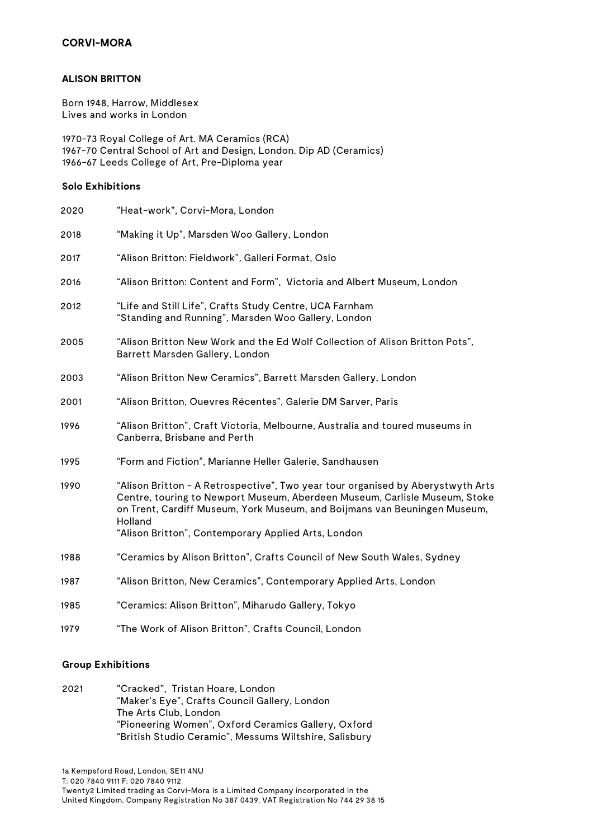## **ALISON BRITTON**

Born 1948, Harrow, Middlesex Lives and works in London

1970-73 Royal College of Art. MA Ceramics (RCA) 1967-70 Central School of Art and Design, London. Dip AD (Ceramics) 1966-67 Leeds College of Art, Pre-Diploma year

## **Solo Exhibitions**

| 2020 | "Heat-work", Corvi-Mora, London                                                                                                                                                                                                                                                                              |
|------|--------------------------------------------------------------------------------------------------------------------------------------------------------------------------------------------------------------------------------------------------------------------------------------------------------------|
| 2018 | "Making it Up", Marsden Woo Gallery, London                                                                                                                                                                                                                                                                  |
| 2017 | "Alison Britton: Fieldwork", Galleri Format, Oslo                                                                                                                                                                                                                                                            |
| 2016 | "Alison Britton: Content and Form", Victoria and Albert Museum, London                                                                                                                                                                                                                                       |
| 2012 | "Life and Still Life", Crafts Study Centre, UCA Farnham<br>"Standing and Running", Marsden Woo Gallery, London                                                                                                                                                                                               |
| 2005 | "Alison Britton New Work and the Ed Wolf Collection of Alison Britton Pots",<br>Barrett Marsden Gallery, London                                                                                                                                                                                              |
| 2003 | "Alison Britton New Ceramics", Barrett Marsden Gallery, London                                                                                                                                                                                                                                               |
| 2001 | "Alison Britton, Ouevres Récentes", Galerie DM Sarver, Paris                                                                                                                                                                                                                                                 |
| 1996 | "Alison Britton", Craft Victoria, Melbourne, Australia and toured museums in<br>Canberra, Brisbane and Perth                                                                                                                                                                                                 |
| 1995 | "Form and Fiction", Marianne Heller Galerie, Sandhausen                                                                                                                                                                                                                                                      |
| 1990 | "Alison Britton - A Retrospective", Two year tour organised by Aberystwyth Arts<br>Centre, touring to Newport Museum, Aberdeen Museum, Carlisle Museum, Stoke<br>on Trent, Cardiff Museum, York Museum, and Boijmans van Beuningen Museum,<br>Holland<br>"Alison Britton", Contemporary Applied Arts, London |
| 1988 | "Ceramics by Alison Britton", Crafts Council of New South Wales, Sydney                                                                                                                                                                                                                                      |
| 1987 | "Alison Britton, New Ceramics", Contemporary Applied Arts, London                                                                                                                                                                                                                                            |
| 1985 | "Ceramics: Alison Britton", Miharudo Gallery, Tokyo                                                                                                                                                                                                                                                          |
| 1979 | "The Work of Alison Britton", Crafts Council, London                                                                                                                                                                                                                                                         |

## **Group Exhibitions**

2021 "Cracked", Tristan Hoare, London "Maker's Eye", Crafts Council Gallery, London The Arts Club, London "Pioneering Women", Oxford Ceramics Gallery, Oxford "British Studio Ceramic", Messums Wiltshire, Salisbury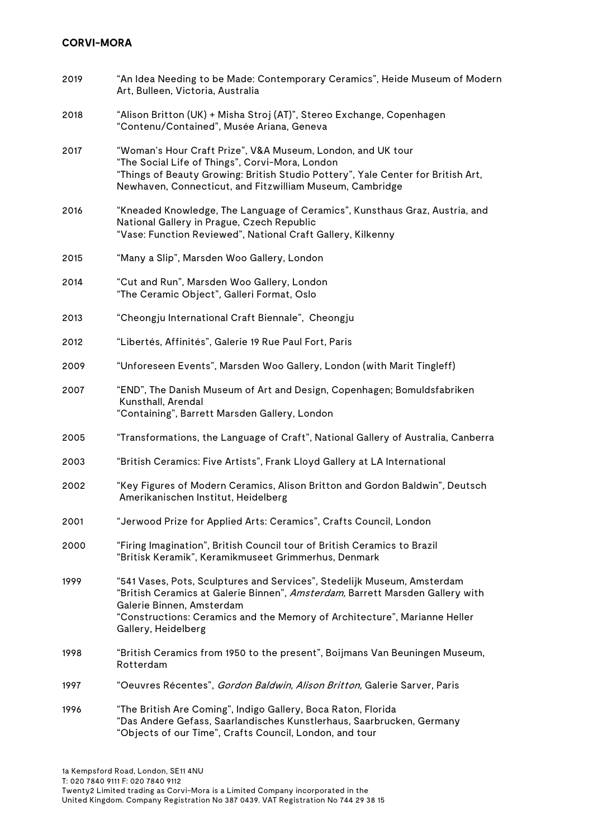| 2019 | "An Idea Needing to be Made: Contemporary Ceramics", Heide Museum of Modern<br>Art, Bulleen, Victoria, Australia                                                                                                                                                                          |
|------|-------------------------------------------------------------------------------------------------------------------------------------------------------------------------------------------------------------------------------------------------------------------------------------------|
| 2018 | "Alison Britton (UK) + Misha Stroj (AT)", Stereo Exchange, Copenhagen<br>"Contenu/Contained", Musée Ariana, Geneva                                                                                                                                                                        |
| 2017 | "Woman's Hour Craft Prize", V&A Museum, London, and UK tour<br>"The Social Life of Things", Corvi-Mora, London<br>"Things of Beauty Growing: British Studio Pottery", Yale Center for British Art,<br>Newhaven, Connecticut, and Fitzwilliam Museum, Cambridge                            |
| 2016 | "Kneaded Knowledge, The Language of Ceramics", Kunsthaus Graz, Austria, and<br>National Gallery in Prague, Czech Republic<br>"Vase: Function Reviewed", National Craft Gallery, Kilkenny                                                                                                  |
| 2015 | "Many a Slip", Marsden Woo Gallery, London                                                                                                                                                                                                                                                |
| 2014 | "Cut and Run", Marsden Woo Gallery, London<br>"The Ceramic Object", Galleri Format, Oslo                                                                                                                                                                                                  |
| 2013 | "Cheongju International Craft Biennale", Cheongju                                                                                                                                                                                                                                         |
| 2012 | "Libertés, Affinités", Galerie 19 Rue Paul Fort, Paris                                                                                                                                                                                                                                    |
| 2009 | "Unforeseen Events", Marsden Woo Gallery, London (with Marit Tingleff)                                                                                                                                                                                                                    |
| 2007 | "END", The Danish Museum of Art and Design, Copenhagen; Bomuldsfabriken<br>Kunsthall, Arendal<br>"Containing", Barrett Marsden Gallery, London                                                                                                                                            |
| 2005 | "Transformations, the Language of Craft", National Gallery of Australia, Canberra                                                                                                                                                                                                         |
| 2003 | "British Ceramics: Five Artists", Frank Lloyd Gallery at LA International                                                                                                                                                                                                                 |
| 2002 | "Key Figures of Modern Ceramics, Alison Britton and Gordon Baldwin", Deutsch<br>Amerikanischen Institut, Heidelberg                                                                                                                                                                       |
| 2001 | "Jerwood Prize for Applied Arts: Ceramics", Crafts Council, London                                                                                                                                                                                                                        |
| 2000 | "Firing Imagination", British Council tour of British Ceramics to Brazil<br>"Britisk Keramik", Keramikmuseet Grimmerhus, Denmark                                                                                                                                                          |
| 1999 | "541 Vases, Pots, Sculptures and Services", Stedelijk Museum, Amsterdam<br>"British Ceramics at Galerie Binnen", Amsterdam, Barrett Marsden Gallery with<br>Galerie Binnen, Amsterdam<br>"Constructions: Ceramics and the Memory of Architecture", Marianne Heller<br>Gallery, Heidelberg |
| 1998 | "British Ceramics from 1950 to the present", Boijmans Van Beuningen Museum,<br>Rotterdam                                                                                                                                                                                                  |
| 1997 | "Oeuvres Récentes", <i>Gordon Baldwin, Alison Britton,</i> Galerie Sarver, Paris                                                                                                                                                                                                          |
| 1996 | "The British Are Coming", Indigo Gallery, Boca Raton, Florida<br>"Das Andere Gefass, Saarlandisches Kunstlerhaus, Saarbrucken, Germany<br>"Objects of our Time", Crafts Council, London, and tour                                                                                         |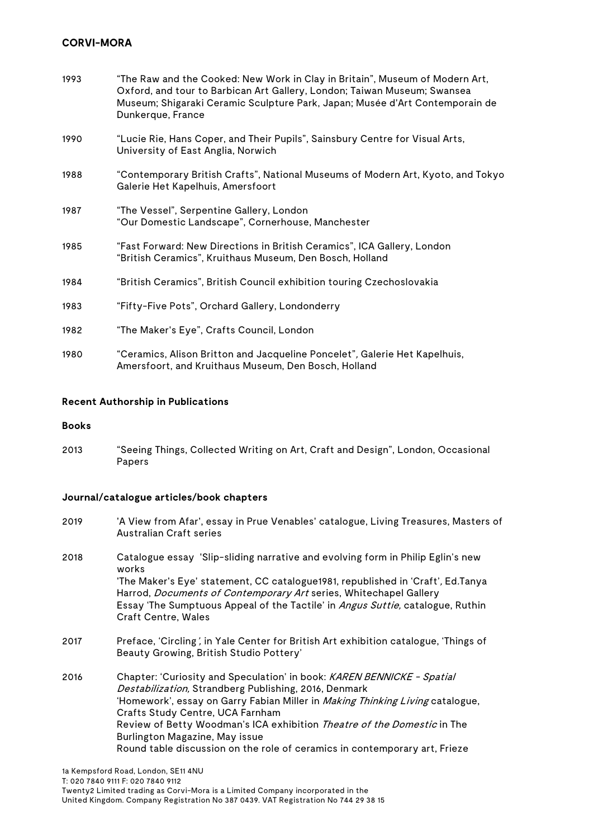| 1993 | "The Raw and the Cooked: New Work in Clay in Britain", Museum of Modern Art,<br>Oxford, and tour to Barbican Art Gallery, London; Taiwan Museum; Swansea<br>Museum; Shigaraki Ceramic Sculpture Park, Japan; Musée d'Art Contemporain de<br>Dunkerque, France |
|------|---------------------------------------------------------------------------------------------------------------------------------------------------------------------------------------------------------------------------------------------------------------|
| 1990 | "Lucie Rie, Hans Coper, and Their Pupils", Sainsbury Centre for Visual Arts,<br>University of East Anglia, Norwich                                                                                                                                            |
| 1988 | "Contemporary British Crafts", National Museums of Modern Art, Kyoto, and Tokyo<br>Galerie Het Kapelhuis, Amersfoort                                                                                                                                          |
| 1987 | "The Vessel", Serpentine Gallery, London<br>"Our Domestic Landscape", Cornerhouse, Manchester                                                                                                                                                                 |
| 1985 | "Fast Forward: New Directions in British Ceramics", ICA Gallery, London<br>"British Ceramics", Kruithaus Museum, Den Bosch, Holland                                                                                                                           |
| 1984 | "British Ceramics", British Council exhibition touring Czechoslovakia                                                                                                                                                                                         |
| 1983 | "Fifty-Five Pots", Orchard Gallery, Londonderry                                                                                                                                                                                                               |
| 1982 | "The Maker's Eye", Crafts Council, London                                                                                                                                                                                                                     |
| 1980 | "Ceramics, Alison Britton and Jacqueline Poncelet", Galerie Het Kapelhuis,<br>Amersfoort, and Kruithaus Museum, Den Bosch, Holland                                                                                                                            |

#### **Recent Authorship in Publications**

#### **Books**

2013 "Seeing Things, Collected Writing on Art, Craft and Design", London, Occasional Papers

## **Journal/catalogue articles/book chapters**

- 2019 'A View from Afar', essay in Prue Venables' catalogue, Living Treasures, Masters of Australian Craft series
- 2018 Catalogue essay 'Slip-sliding narrative and evolving form in Philip Eglin's new works 'The Maker's Eye' statement, CC catalogue1981, republished in 'Craft', Ed.Tanya Harrod, Documents of Contemporary Art series, Whitechapel Gallery Essay 'The Sumptuous Appeal of the Tactile' in Angus Suttie, catalogue, Ruthin Craft Centre, Wales
- 2017 Preface, 'Circling', in Yale Center for British Art exhibition catalogue, 'Things of Beauty Growing, British Studio Pottery'
- 2016 Chapter: 'Curiosity and Speculation' in book: KAREN BENNICKE Spatial Destabilization, Strandberg Publishing, 2016, Denmark 'Homework', essay on Garry Fabian Miller in Making Thinking Living catalogue, Crafts Study Centre, UCA Farnham Review of Betty Woodman's ICA exhibition Theatre of the Domestic in The Burlington Magazine, May issue Round table discussion on the role of ceramics in contemporary art, Frieze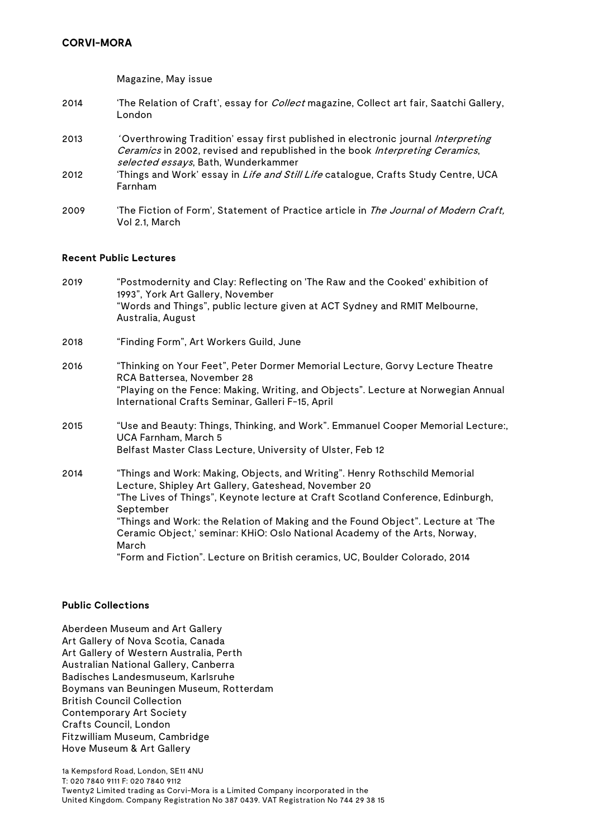Magazine, May issue

- 2014 'The Relation of Craft', essay for *Collect* magazine, Collect art fair, Saatchi Gallery, London
- 2013 ' Overthrowing Tradition' essay first published in electronic journal *Interpreting* Ceramics in 2002, revised and republished in the book Interpreting Ceramics, selected essays, Bath, Wunderkammer
- 2012 'Things and Work' essay in *Life and Still Life* catalogue, Crafts Study Centre, UCA Farnham
- 2009 'The Fiction of Form', Statement of Practice article in The Journal of Modern Craft, Vol 2.1, March

## **Recent Public Lectures**

- 2019 "Postmodernity and Clay: Reflecting on 'The Raw and the Cooked' exhibition of 1993", York Art Gallery, November "Words and Things", public lecture given at ACT Sydney and RMIT Melbourne, Australia, August
- 2018 "Finding Form", Art Workers Guild, June
- 2016 "Thinking on Your Feet", Peter Dormer Memorial Lecture, Gorvy Lecture Theatre RCA Battersea, November 28 "Playing on the Fence: Making, Writing, and Objects". Lecture at Norwegian Annual International Crafts Seminar, Galleri F-15, April
- 2015 "Use and Beauty: Things, Thinking, and Work". Emmanuel Cooper Memorial Lecture:, UCA Farnham, March 5 Belfast Master Class Lecture, University of Ulster, Feb 12
- 2014 "Things and Work: Making, Objects, and Writing". Henry Rothschild Memorial Lecture, Shipley Art Gallery, Gateshead, November 20 "The Lives of Things", Keynote lecture at Craft Scotland Conference, Edinburgh, September "Things and Work: the Relation of Making and the Found Object". Lecture at 'The Ceramic Object,' seminar: KHiO: Oslo National Academy of the Arts, Norway, March "Form and Fiction". Lecture on British ceramics, UC, Boulder Colorado, 2014

#### **Public Collections**

Aberdeen Museum and Art Gallery Art Gallery of Nova Scotia, Canada Art Gallery of Western Australia, Perth Australian National Gallery, Canberra Badisches Landesmuseum, Karlsruhe Boymans van Beuningen Museum, Rotterdam British Council Collection Contemporary Art Society Crafts Council, London Fitzwilliam Museum, Cambridge Hove Museum & Art Gallery